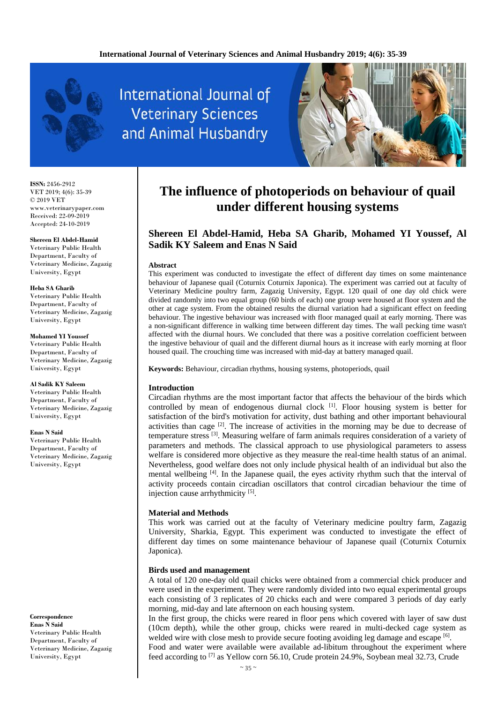

**International Journal of Veterinary Sciences** and Animal Husbandry



**ISSN:** 2456-2912 VET 2019; 4(6): 35-39 © 2019 VET www.veterinarypaper.com Received: 22-09-2019 Accepted: 24-10-2019

#### **Shereen El Abdel-Hamid**

Veterinary Public Health Department, Faculty of Veterinary Medicine, Zagazig University, Egypt

#### **Heba SA Gharib**

Veterinary Public Health Department, Faculty of Veterinary Medicine, Zagazig University, Egypt

**Mohamed YI Youssef** Veterinary Public Health Department, Faculty of Veterinary Medicine, Zagazig University, Egypt

**Al Sadik KY Saleem** Veterinary Public Health Department, Faculty of Veterinary Medicine, Zagazig University, Egypt

# **Enas N Said**

Veterinary Public Health Department, Faculty of Veterinary Medicine, Zagazig University, Egypt

**Correspondence Enas N Said** Veterinary Public Health Department, Faculty of Veterinary Medicine, Zagazig University, Egypt

# **The influence of photoperiods on behaviour of quail under different housing systems**

# **Shereen El Abdel-Hamid, Heba SA Gharib, Mohamed YI Youssef, Al Sadik KY Saleem and Enas N Said**

#### **Abstract**

This experiment was conducted to investigate the effect of different day times on some maintenance behaviour of Japanese quail (Coturnix Coturnix Japonica). The experiment was carried out at faculty of Veterinary Medicine poultry farm, Zagazig University, Egypt. 120 quail of one day old chick were divided randomly into two equal group (60 birds of each) one group were housed at floor system and the other at cage system. From the obtained results the diurnal variation had a significant effect on feeding behaviour. The ingestive behaviour was increased with floor managed quail at early morning. There was a non-significant difference in walking time between different day times. The wall pecking time wasn't affected with the diurnal hours. We concluded that there was a positive correlation coefficient between the ingestive behaviour of quail and the different diurnal hours as it increase with early morning at floor housed quail. The crouching time was increased with mid-day at battery managed quail.

**Keywords:** Behaviour, circadian rhythms, housing systems, photoperiods, quail

### **Introduction**

Circadian rhythms are the most important factor that affects the behaviour of the birds which controlled by mean of endogenous diurnal clock  $\left[1\right]$ . Floor housing system is better for satisfaction of the bird's motivation for activity, dust bathing and other important behavioural activities than cage  $[2]$ . The increase of activities in the morning may be due to decrease of temperature stress [3]. Measuring welfare of farm animals requires consideration of a variety of parameters and methods. The classical approach to use physiological parameters to assess welfare is considered more objective as they measure the real-time health status of an animal. Nevertheless, good welfare does not only include physical health of an individual but also the mental wellbeing [4]. In the Japanese quail, the eyes activity rhythm such that the interval of activity proceeds contain circadian oscillators that control circadian behaviour the time of injection cause arrhythmicity [5].

### **Material and Methods**

This work was carried out at the faculty of Veterinary medicine poultry farm, Zagazig University, Sharkia, Egypt. This experiment was conducted to investigate the effect of different day times on some maintenance behaviour of Japanese quail (Coturnix Coturnix Japonica).

### **Birds used and management**

A total of 120 one-day old quail chicks were obtained from a commercial chick producer and were used in the experiment. They were randomly divided into two equal experimental groups each consisting of 3 replicates of 20 chicks each and were compared 3 periods of day early morning, mid-day and late afternoon on each housing system.

In the first group, the chicks were reared in floor pens which covered with layer of saw dust (10cm depth), while the other group, chicks were reared in multi-decked cage system as welded wire with close mesh to provide secure footing avoiding leg damage and escape [6].

Food and water were available were available ad-libitum throughout the experiment where feed according to <sup>[7]</sup> as Yellow corn 56.10, Crude protein 24.9%, Soybean meal 32.73, Crude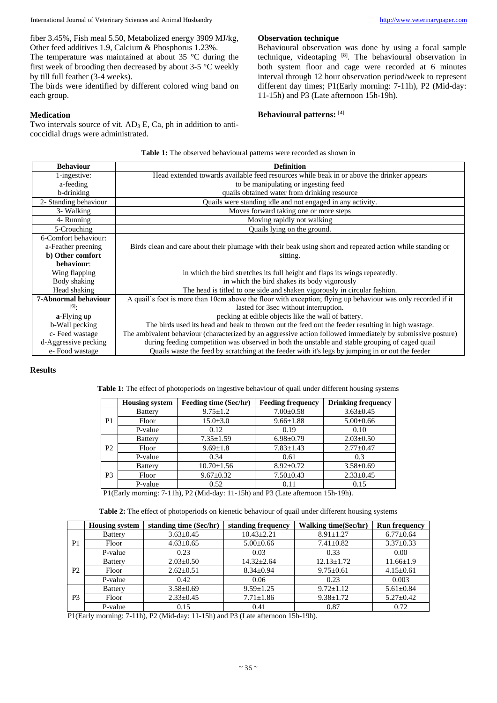International Journal of Veterinary Sciences and Animal Husbandry [http://www.veterinarypaper.com](http://www.veterinarypaper.com/)

fiber 3.45%, Fish meal 5.50, Metabolized energy 3909 MJ/kg, Other feed additives 1.9, Calcium & Phosphorus 1.23%.

The temperature was maintained at about 35 °C during the first week of brooding then decreased by about 3-5 °C weekly by till full feather (3-4 weeks).

The birds were identified by different colored wing band on each group.

### **Medication**

Two intervals source of vit.  $AD_3 E$ ,  $Ca$ , ph in addition to anticoccidial drugs were administrated.

#### **Observation technique**

Behavioural observation was done by using a focal sample technique, videotaping [8]. The behavioural observation in both system floor and cage were recorded at 6 minutes interval through 12 hour observation period/week to represent different day times; P1(Early morning: 7-11h), P2 (Mid-day: 11-15h) and P3 (Late afternoon 15h-19h).

# **Behavioural patterns:** [4]

| <b>Behaviour</b>                                  | <b>Definition</b>                                                                                            |  |  |  |  |
|---------------------------------------------------|--------------------------------------------------------------------------------------------------------------|--|--|--|--|
| 1-ingestive:                                      | Head extended towards available feed resources while beak in or above the drinker appears                    |  |  |  |  |
| to be manipulating or ingesting feed<br>a-feeding |                                                                                                              |  |  |  |  |
| b-drinking                                        | quails obtained water from drinking resource                                                                 |  |  |  |  |
| 2- Standing behaviour                             | Quails were standing idle and not engaged in any activity.                                                   |  |  |  |  |
| 3- Walking                                        | Moves forward taking one or more steps                                                                       |  |  |  |  |
| 4- Running                                        | Moving rapidly not walking                                                                                   |  |  |  |  |
| 5-Crouching                                       | Quails lying on the ground.                                                                                  |  |  |  |  |
| 6-Comfort behaviour:                              |                                                                                                              |  |  |  |  |
| a-Feather preening                                | Birds clean and care about their plumage with their beak using short and repeated action while standing or   |  |  |  |  |
| b) Other comfort                                  | sitting.                                                                                                     |  |  |  |  |
| behaviour:                                        |                                                                                                              |  |  |  |  |
| Wing flapping                                     | in which the bird stretches its full height and flaps its wings repeatedly.                                  |  |  |  |  |
| Body shaking                                      | in which the bird shakes its body vigorously                                                                 |  |  |  |  |
| Head shaking                                      | The head is titled to one side and shaken vigorously in circular fashion.                                    |  |  |  |  |
| 7-Abnormal behaviour                              | A quail's foot is more than 10cm above the floor with exception; flying up behaviour was only recorded if it |  |  |  |  |
| [6]                                               | lasted for 3sec without interruption.                                                                        |  |  |  |  |
| a-Flying up                                       | pecking at edible objects like the wall of battery.                                                          |  |  |  |  |
| b-Wall pecking                                    | The birds used its head and beak to thrown out the feed out the feeder resulting in high wastage.            |  |  |  |  |
| c-Feed wastage                                    | The ambivalent behaviour (characterized by an aggressive action followed immediately by submissive posture)  |  |  |  |  |
| d-Aggressive pecking                              | during feeding competition was observed in both the unstable and stable grouping of caged quail              |  |  |  |  |
| e-Food wastage                                    | Quails waste the feed by scratching at the feeder with it's legs by jumping in or out the feeder             |  |  |  |  |

**Table 1:** The observed behavioural patterns were recorded as shown in

### **Results**

**Table 1:** The effect of photoperiods on ingestive behaviour of quail under different housing systems

|                | <b>Housing system</b> | <b>Feeding time (Sec/hr)</b> | <b>Feeding frequency</b> | <b>Drinking frequency</b> |
|----------------|-----------------------|------------------------------|--------------------------|---------------------------|
| P1             | <b>Battery</b>        | $9.75 \pm 1.2$               | $7.00 \pm 0.58$          | $3.63 \pm 0.45$           |
|                | Floor                 | $15.0 \pm 3.0$               | $9.66 \pm 1.88$          | $5.00 \pm 0.66$           |
|                | P-value               | 0.12                         | 0.19                     | 0.10                      |
| P <sub>2</sub> | <b>Battery</b>        | $7.35 \pm 1.59$              | $6.98 \pm 0.79$          | $2.03 \pm 0.50$           |
|                | Floor                 | $9.69 \pm 1.8$               | $7.83 \pm 1.43$          | $2.77 \pm 0.47$           |
|                | P-value               | 0.34                         | 0.61                     | 0.3                       |
| P3             | <b>Battery</b>        | $10.70 \pm 1.56$             | $8.92 \pm 0.72$          | $3.58 \pm 0.69$           |
|                | Floor                 | $9.67 \pm 0.32$              | $7.50 \pm 0.43$          | $2.33 \pm 0.45$           |
|                | P-value               | 0.52                         | 0.11                     | 0.15                      |

P1(Early morning: 7-11h), P2 (Mid-day: 11-15h) and P3 (Late afternoon 15h-19h).

**Table 2:** The effect of photoperiods on kienetic behaviour of quail under different housing systems

|                | <b>Housing system</b> | standing time (Sec/hr) | standing frequency | <b>Walking time(Sec/hr)</b> | <b>Run frequency</b> |
|----------------|-----------------------|------------------------|--------------------|-----------------------------|----------------------|
|                | <b>Battery</b>        | $3.63 \pm 0.45$        | $10.43 \pm 2.21$   | $8.91 \pm 1.27$             | $6.77 \pm 0.64$      |
| P1             | Floor                 | $4.63 \pm 0.65$        | $5.00 \pm 0.66$    | $7.41 \pm 0.82$             | $3.37 \pm 0.33$      |
|                | P-value               | 0.23                   | 0.03               | 0.33                        | $0.00\,$             |
|                | <b>Battery</b>        | $2.03 \pm 0.50$        | $14.32 + 2.64$     | $12.13 \pm 1.72$            | $11.66 \pm 1.9$      |
| P <sub>2</sub> | Floor                 | $2.62 \pm 0.51$        | $8.34 \pm 0.94$    | $9.75 \pm 0.61$             | $4.15 \pm 0.61$      |
|                | P-value               | 0.42                   | 0.06               | 0.23                        | 0.003                |
|                | <b>Battery</b>        | $3.58 \pm 0.69$        | $9.59 \pm 1.25$    | $9.72 \pm 1.12$             | $5.61 \pm 0.84$      |
| P <sub>3</sub> | Floor                 | $2.33 \pm 0.45$        | $7.71 \pm 1.86$    | $9.38 \pm 1.72$             | $5.27 \pm 0.42$      |
|                | P-value               | 0.15                   | 0.41               | 0.87                        | 0.72                 |

P1(Early morning: 7-11h), P2 (Mid-day: 11-15h) and P3 (Late afternoon 15h-19h).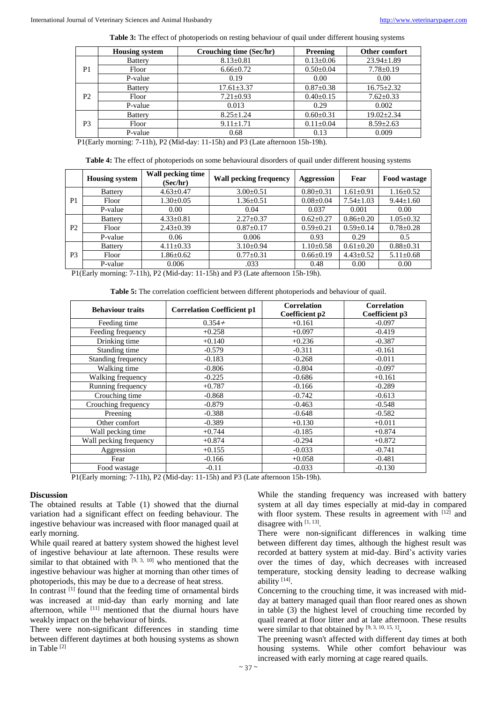**Table 3:** The effect of photoperiods on resting behaviour of quail under different housing systems

|                | <b>Housing system</b>                                                                           | Crouching time (Sec/hr)                                                                                                                                                  | Preening        | Other comfort    |
|----------------|-------------------------------------------------------------------------------------------------|--------------------------------------------------------------------------------------------------------------------------------------------------------------------------|-----------------|------------------|
|                | <b>Battery</b>                                                                                  | $8.13 \pm 0.81$                                                                                                                                                          | $0.13 \pm 0.06$ | $23.94 \pm 1.89$ |
| P1             | Floor                                                                                           | $6.66 \pm 0.72$                                                                                                                                                          | $0.50 \pm 0.04$ | $7.78 \pm 0.19$  |
|                | P-value                                                                                         | 0.19                                                                                                                                                                     | 0.00            | 0.00             |
|                | <b>Battery</b>                                                                                  | $17.61 \pm 3.37$                                                                                                                                                         | $0.87 \pm 0.38$ | $16.75 \pm 2.32$ |
| P <sub>2</sub> | Floor                                                                                           | $7.21 \pm 0.93$                                                                                                                                                          | $0.40 \pm 0.15$ | $7.62 \pm 0.33$  |
|                | P-value                                                                                         | 0.013                                                                                                                                                                    | 0.29            | 0.002            |
| P <sub>3</sub> | <b>Battery</b>                                                                                  | $8.25 \pm 1.24$                                                                                                                                                          | $0.60 \pm 0.31$ | $19.02 \pm 2.34$ |
|                | Floor                                                                                           | $9.11 \pm 1.71$                                                                                                                                                          | $0.11 \pm 0.04$ | $8.59 \pm 2.63$  |
|                | P-value                                                                                         | 0.68                                                                                                                                                                     | 0.13            | 0.009            |
| P(1)           | $\pi$ $\rightarrow$ $\rightarrow$ $\pi$ $\rightarrow$ $\rightarrow$ $\rightarrow$ $\rightarrow$ | $\mathbf{1}$ $\mathbf{1}$ $\mathbf{2}$ $\mathbf{1}$ $\mathbf{3}$ $\mathbf{1}$ $\mathbf{2}$ $\mathbf{3}$ $\mathbf{4}$ $\mathbf{5}$ $\mathbf{5}$ $\mathbf{6}$ $\mathbf{1}$ | 1.71.101        |                  |

P1(Early morning: 7-11h), P2 (Mid-day: 11-15h) and P3 (Late afternoon 15h-19h).

**Table 4:** The effect of photoperiods on some behavioural disorders of quail under different housing systems

|                | <b>Housing system</b> | Wall pecking time<br>(Sec/hr) | <b>Wall pecking frequency</b> | <b>Aggression</b> | Fear            | Food wastage    |
|----------------|-----------------------|-------------------------------|-------------------------------|-------------------|-----------------|-----------------|
| P <sub>1</sub> | <b>Battery</b>        | $4.63 \pm 0.47$               | $3.00 \pm 0.51$               | $0.80 \pm 0.31$   | $1.61 \pm 0.91$ | $1.16 \pm 0.52$ |
|                | Floor                 | $1.30{\pm}0.05$               | $1.36 \pm 0.51$               | $0.08 \pm 0.04$   | $7.54 \pm 1.03$ | $9.44 \pm 1.60$ |
|                | P-value               | 0.00                          | 0.04                          | 0.037             | 0.001           | 0.00            |
| P <sub>2</sub> | <b>Battery</b>        | $4.33 \pm 0.81$               | $2.27 \pm 0.37$               | $0.62 \pm 0.27$   | $0.86 \pm 0.20$ | $1.05 \pm 0.32$ |
|                | Floor                 | $2.43 \pm 0.39$               | $0.87 \pm 0.17$               | $0.59 \pm 0.21$   | $0.59 \pm 0.14$ | $0.78 \pm 0.28$ |
|                | P-value               | 0.06                          | 0.006                         | 0.93              | 0.29            | 0.5             |
| P <sub>3</sub> | <b>Battery</b>        | $4.11 \pm 0.33$               | $3.10\pm0.94$                 | $1.10\pm0.58$     | $0.61 \pm 0.20$ | $0.88 \pm 0.31$ |
|                | Floor                 | $1.86 \pm 0.62$               | $0.77 \pm 0.31$               | $0.66 \pm 0.19$   | $4.43 \pm 0.52$ | $5.11 \pm 0.68$ |
|                | P-value               | 0.006                         | .033                          | 0.48              | 0.00            | 0.00            |

P1(Early morning: 7-11h), P2 (Mid-day: 11-15h) and P3 (Late afternoon 15h-19h).

**Table 5:** The correlation coefficient between different photoperiods and behaviour of quail.

| <b>Behaviour traits</b> | <b>Correlation Coefficient p1</b> | <b>Correlation</b><br>Coefficient p2 | <b>Correlation</b><br>Coefficient p3 |
|-------------------------|-----------------------------------|--------------------------------------|--------------------------------------|
| Feeding time            | $0.354+$                          | $+0.161$                             | $-0.097$                             |
| Feeding frequency       | $+0.258$                          | $+0.097$                             | $-0.419$                             |
| Drinking time           | $+0.140$                          | $+0.236$                             | $-0.387$                             |
| Standing time           | $-0.579$                          | $-0.311$                             | $-0.161$                             |
| Standing frequency      | $-0.183$                          | $-0.268$                             | $-0.011$                             |
| Walking time            | $-0.806$                          | $-0.804$                             | $-0.097$                             |
| Walking frequency       | $-0.225$                          | $-0.686$                             | $+0.161$                             |
| Running frequency       | $+0.787$                          | $-0.166$                             | $-0.289$                             |
| Crouching time          | $-0.868$                          | $-0.742$                             | $-0.613$                             |
| Crouching frequency     | $-0.879$                          | $-0.463$                             | $-0.548$                             |
| Preening                | $-0.388$                          | $-0.648$                             | $-0.582$                             |
| Other comfort           | $-0.389$                          | $+0.130$                             | $+0.011$                             |
| Wall pecking time       | $+0.744$                          | $-0.185$                             | $+0.874$                             |
| Wall pecking frequency  | $+0.874$                          | $-0.294$                             | $+0.872$                             |
| Aggression              | $+0.155$                          | $-0.033$                             | $-0.741$                             |
| Fear                    | $-0.166$                          | $+0.058$                             | $-0.481$                             |
| Food wastage            | $-0.11$                           | $-0.033$                             | $-0.130$                             |

P1(Early morning: 7-11h), P2 (Mid-day: 11-15h) and P3 (Late afternoon 15h-19h).

#### **Discussion**

The obtained results at Table (1) showed that the diurnal variation had a significant effect on feeding behaviour. The ingestive behaviour was increased with floor managed quail at early morning.

While quail reared at battery system showed the highest level of ingestive behaviour at late afternoon. These results were similar to that obtained with  $[9, 3, 10]$  who mentioned that the ingestive behaviour was higher at morning than other times of photoperiods, this may be due to a decrease of heat stress.

In contrast <sup>[1]</sup> found that the feeding time of ornamental birds was increased at mid-day than early morning and late afternoon, while <sup>[11]</sup> mentioned that the diurnal hours have weakly impact on the behaviour of birds.

There were non-significant differences in standing time between different daytimes at both housing systems as shown in Table [2]

While the standing frequency was increased with battery system at all day times especially at mid-day in compared with floor system. These results in agreement with [12] and disagree with [1, 13].

There were non-significant differences in walking time between different day times, although the highest result was recorded at battery system at mid-day. Bird's activity varies over the times of day, which decreases with increased temperature, stocking density leading to decrease walking ability [14] .

Concerning to the crouching time, it was increased with midday at battery managed quail than floor reared ones as shown in table (3) the highest level of crouching time recorded by quail reared at floor litter and at late afternoon. These results were similar to that obtained by  $[9, 3, 10, 15, 1]$ .

The preening wasn't affected with different day times at both housing systems. While other comfort behaviour was increased with early morning at cage reared quails.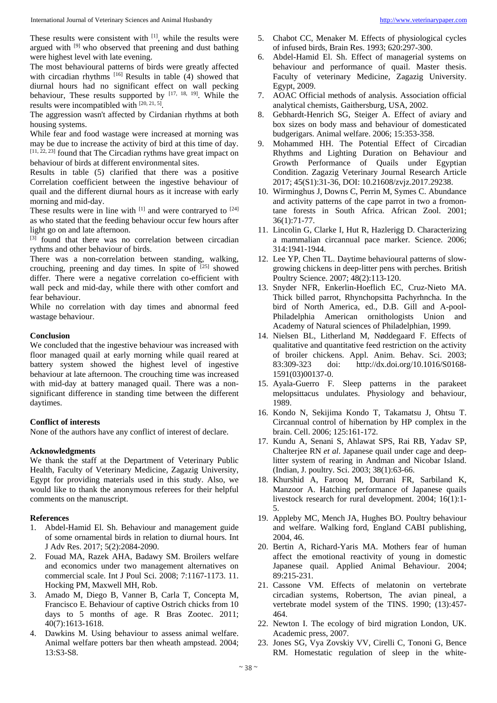These results were consistent with [1], while the results were argued with [9] who observed that preening and dust bathing were highest level with late evening.

The most behavioural patterns of birds were greatly affected with circadian rhythms [16] Results in table (4) showed that diurnal hours had no significant effect on wall pecking behaviour, These results supported by [17, 18, 19]. While the results were incompatibled with [20, 21, 5].

The aggression wasn't affected by Cirdanian rhythms at both housing systems.

While fear and food wastage were increased at morning was may be due to increase the activity of bird at this time of day.  $[11, 22, 23]$  found that The Circadian rythms have great impact on behaviour of birds at different environmental sites.

Results in table (5) clarified that there was a positive Correlation coefficient between the ingestive behaviour of quail and the different diurnal hours as it increase with early morning and mid-day.

These results were in line with  $[1]$  and were contraryed to  $[24]$ as who stated that the feeding behaviour occur few hours after light go on and late afternoon.

[3] found that there was no correlation between circadian rythms and other behaviour of birds.

There was a non-correlation between standing, walking, crouching, preening and day times. In spite of  $[25]$  showed differ. There were a negative correlation co-efficient with wall peck and mid-day, while there with other comfort and fear behaviour.

While no correlation with day times and abnormal feed wastage behaviour.

#### **Conclusion**

We concluded that the ingestive behaviour was increased with floor managed quail at early morning while quail reared at battery system showed the highest level of ingestive behaviour at late afternoon. The crouching time was increased with mid-day at battery managed quail. There was a nonsignificant difference in standing time between the different daytimes.

### **Conflict of interests**

None of the authors have any conflict of interest of declare.

### **Acknowledgments**

We thank the staff at the Department of Veterinary Public Health, Faculty of Veterinary Medicine, Zagazig University, Egypt for providing materials used in this study. Also, we would like to thank the anonymous referees for their helpful comments on the manuscript.

### **References**

- 1. Abdel-Hamid El. Sh. Behaviour and management guide of some ornamental birds in relation to diurnal hours. Int J Adv Res. 2017; 5(2):2084-2090.
- 2. Fouad MA, Razek AHA, Badawy SM. Broilers welfare and economics under two management alternatives on commercial scale. Int J Poul Sci. 2008; 7:1167-1173. 11. Hocking PM, Maxwell MH, Rob.
- 3. Amado M, Diego B, Vanner B, Carla T, Concepta M, Francisco E. Behaviour of captive Ostrich chicks from 10 days to 5 months of age. R Bras Zootec. 2011; 40(7):1613-1618.
- 4. Dawkins M. Using behaviour to assess animal welfare. Animal welfare potters bar then wheath ampstead. 2004; 13:S3-S8.
- 5. Chabot CC, Menaker M. Effects of physiological cycles of infused birds, Brain Res. 1993; 620:297-300.
- 6. Abdel-Hamid El. Sh. Effect of managerial systems on behaviour and performance of quail. Master thesis. Faculty of veterinary Medicine, Zagazig University. Egypt, 2009.
- 7. AOAC Official methods of analysis. Association official analytical chemists, Gaithersburg, USA, 2002.
- 8. Gebhardt-Henrich SG, Steiger A. Effect of aviary and box sizes on body mass and behaviour of domesticated budgerigars. Animal welfare. 2006; 15:353-358.
- 9. Mohammed HH. The Potential Effect of Circadian Rhythms and Lighting Duration on Behaviour and Growth Performance of Quails under Egyptian Condition. Zagazig Veterinary Journal Research Article 2017; 45(S1):31-36, DOI: 10.21608/zvjz.2017.29238.
- 10. Wirminghus J, Downs C, Perrin M, Symes C. Abundance and activity patterns of the cape parrot in two a fromontane forests in South Africa. African Zool. 2001; 36(1):71-77.
- 11. Lincolin G, Clarke I, Hut R, Hazlerigg D. Characterizing a mammalian circannual pace marker. Science. 2006; 314:1941-1944.
- 12. Lee YP, Chen TL. Daytime behavioural patterns of slowgrowing chickens in deep-litter pens with perches. British Poultry Science. 2007; 48(2):113-120.
- 13. Snyder NFR, Enkerlin-Hoeflich EC, Cruz-Nieto MA. Thick billed parrot, Rhynchopsitta Pachyrhncha. In the bird of North America, ed., D.B. Gill and A-pool-Philadelphia American ornithologists Union and Academy of Natural sciences of Philadelphian, 1999.
- 14. Nielsen BL, Litherland M, Nøddegaard F. Effects of qualitative and quantitative feed restriction on the activity of broiler chickens. Appl. Anim. Behav. Sci. 2003; 83:309-323 doi: http://dx.doi.org/10.1016/S0168- 1591(03)00137-0.
- 15. Ayala-Guerro F. Sleep patterns in the parakeet melopsittacus undulates. Physiology and behaviour, 1989.
- 16. Kondo N, Sekijima Kondo T, Takamatsu J, Ohtsu T. Circannual control of hibernation by HP complex in the brain. Cell. 2006; 125:161-172.
- 17. Kundu A, Senani S, Ahlawat SPS, Rai RB, Yadav SP, Chalterjee RN *et al*. Japanese quail under cage and deeplitter system of rearing in Andman and Nicobar Island. (Indian, J. poultry. Sci. 2003; 38(1):63-66.
- 18. Khurshid A, Farooq M, Durrani FR, Sarbiland K, Manzoor A. Hatching performance of Japanese quails livestock research for rural development. 2004; 16(1):1- 5.
- 19. Appleby MC, Mench JA, Hughes BO. Poultry behaviour and welfare. Walking ford, England CABI publishing, 2004, 46.
- 20. Bertin A, Richard-Yaris MA. Mothers fear of human affect the emotional reactivity of young in domestic Japanese quail. Applied Animal Behaviour. 2004; 89:215-231.
- 21. Cassone VM. Effects of melatonin on vertebrate circadian systems, Robertson, The avian pineal, a vertebrate model system of the TINS. 1990; (13):457- 464.
- 22. Newton I. The ecology of bird migration London, UK. Academic press, 2007.
- 23. Jones SG, Vya Zovskiy VV, Cirelli C, Tononi G, Bence RM. Homestatic regulation of sleep in the white-